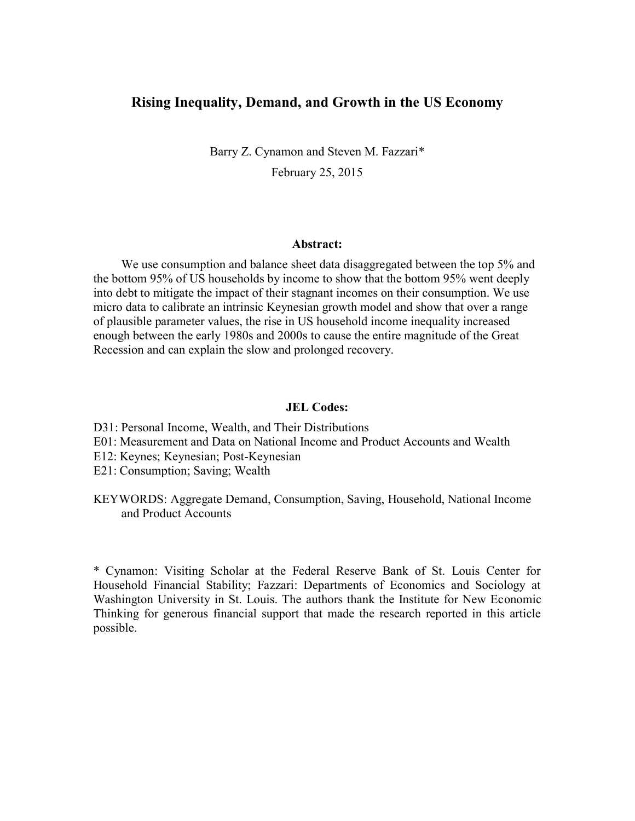# **Rising Inequality, Demand, and Growth in the US Economy**

Barry Z. Cynamon and Steven M. Fazzari\* February 25, 2015

#### **Abstract:**

We use consumption and balance sheet data disaggregated between the top 5% and the bottom 95% of US households by income to show that the bottom 95% went deeply into debt to mitigate the impact of their stagnant incomes on their consumption. We use micro data to calibrate an intrinsic Keynesian growth model and show that over a range of plausible parameter values, the rise in US household income inequality increased enough between the early 1980s and 2000s to cause the entire magnitude of the Great Recession and can explain the slow and prolonged recovery.

#### **JEL Codes:**

- D31: Personal Income, Wealth, and Their Distributions
- E01: Measurement and Data on National Income and Product Accounts and Wealth
- E12: Keynes; Keynesian; Post-Keynesian
- E21: Consumption; Saving; Wealth
- KEYWORDS: Aggregate Demand, Consumption, Saving, Household, National Income and Product Accounts

\* Cynamon: Visiting Scholar at the Federal Reserve Bank of St. Louis Center for Household Financial Stability; Fazzari: Departments of Economics and Sociology at Washington University in St. Louis. The authors thank the Institute for New Economic Thinking for generous financial support that made the research reported in this article possible.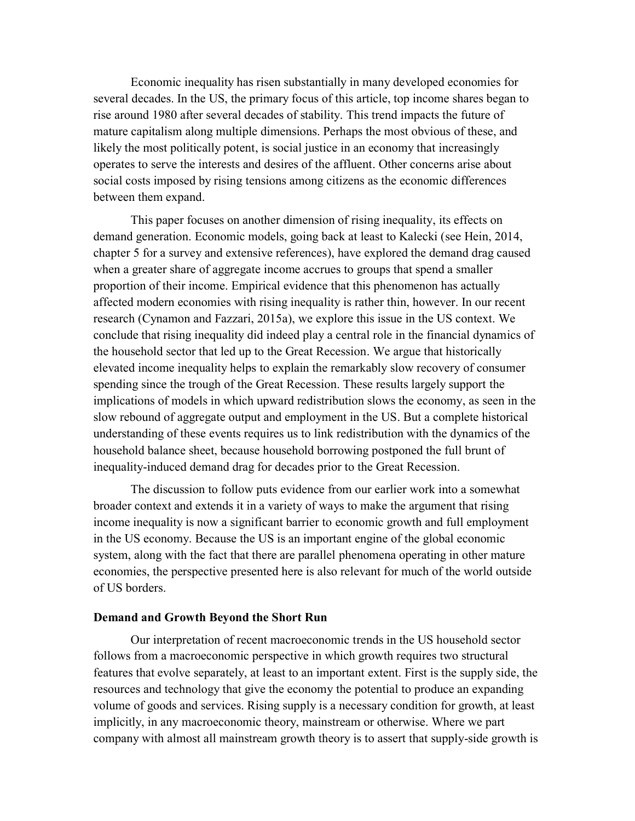Economic inequality has risen substantially in many developed economies for several decades. In the US, the primary focus of this article, top income shares began to rise around 1980 after several decades of stability. This trend impacts the future of mature capitalism along multiple dimensions. Perhaps the most obvious of these, and likely the most politically potent, is social justice in an economy that increasingly operates to serve the interests and desires of the affluent. Other concerns arise about social costs imposed by rising tensions among citizens as the economic differences between them expand.

This paper focuses on another dimension of rising inequality, its effects on demand generation. Economic models, going back at least to Kalecki (see Hein, 2014, chapter 5 for a survey and extensive references), have explored the demand drag caused when a greater share of aggregate income accrues to groups that spend a smaller proportion of their income. Empirical evidence that this phenomenon has actually affected modern economies with rising inequality is rather thin, however. In our recent research (Cynamon and Fazzari, 2015a), we explore this issue in the US context. We conclude that rising inequality did indeed play a central role in the financial dynamics of the household sector that led up to the Great Recession. We argue that historically elevated income inequality helps to explain the remarkably slow recovery of consumer spending since the trough of the Great Recession. These results largely support the implications of models in which upward redistribution slows the economy, as seen in the slow rebound of aggregate output and employment in the US. But a complete historical understanding of these events requires us to link redistribution with the dynamics of the household balance sheet, because household borrowing postponed the full brunt of inequality-induced demand drag for decades prior to the Great Recession.

The discussion to follow puts evidence from our earlier work into a somewhat broader context and extends it in a variety of ways to make the argument that rising income inequality is now a significant barrier to economic growth and full employment in the US economy. Because the US is an important engine of the global economic system, along with the fact that there are parallel phenomena operating in other mature economies, the perspective presented here is also relevant for much of the world outside of US borders.

### **Demand and Growth Beyond the Short Run**

Our interpretation of recent macroeconomic trends in the US household sector follows from a macroeconomic perspective in which growth requires two structural features that evolve separately, at least to an important extent. First is the supply side, the resources and technology that give the economy the potential to produce an expanding volume of goods and services. Rising supply is a necessary condition for growth, at least implicitly, in any macroeconomic theory, mainstream or otherwise. Where we part company with almost all mainstream growth theory is to assert that supply-side growth is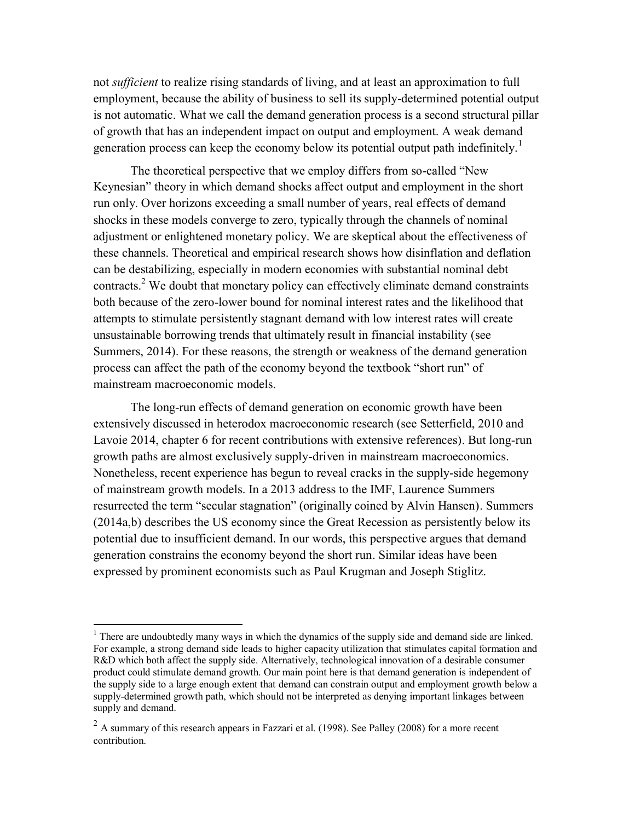not *sufficient* to realize rising standards of living, and at least an approximation to full employment, because the ability of business to sell its supply-determined potential output is not automatic. What we call the demand generation process is a second structural pillar of growth that has an independent impact on output and employment. A weak demand generation process can keep the economy below its potential output path indefinitely.<sup>1</sup>

The theoretical perspective that we employ differs from so-called "New Keynesian" theory in which demand shocks affect output and employment in the short run only. Over horizons exceeding a small number of years, real effects of demand shocks in these models converge to zero, typically through the channels of nominal adjustment or enlightened monetary policy. We are skeptical about the effectiveness of these channels. Theoretical and empirical research shows how disinflation and deflation can be destabilizing, especially in modern economies with substantial nominal debt contracts.<sup>2</sup> We doubt that monetary policy can effectively eliminate demand constraints both because of the zero-lower bound for nominal interest rates and the likelihood that attempts to stimulate persistently stagnant demand with low interest rates will create unsustainable borrowing trends that ultimately result in financial instability (see Summers, 2014). For these reasons, the strength or weakness of the demand generation process can affect the path of the economy beyond the textbook "short run" of mainstream macroeconomic models.

The long-run effects of demand generation on economic growth have been extensively discussed in heterodox macroeconomic research (see Setterfield, 2010 and Lavoie 2014, chapter 6 for recent contributions with extensive references). But long-run growth paths are almost exclusively supply-driven in mainstream macroeconomics. Nonetheless, recent experience has begun to reveal cracks in the supply-side hegemony of mainstream growth models. In a 2013 address to the IMF, Laurence Summers resurrected the term "secular stagnation" (originally coined by Alvin Hansen). Summers (2014a,b) describes the US economy since the Great Recession as persistently below its potential due to insufficient demand. In our words, this perspective argues that demand generation constrains the economy beyond the short run. Similar ideas have been expressed by prominent economists such as Paul Krugman and Joseph Stiglitz.

<sup>&</sup>lt;sup>1</sup> There are undoubtedly many ways in which the dynamics of the supply side and demand side are linked. For example, a strong demand side leads to higher capacity utilization that stimulates capital formation and R&D which both affect the supply side. Alternatively, technological innovation of a desirable consumer product could stimulate demand growth. Our main point here is that demand generation is independent of the supply side to a large enough extent that demand can constrain output and employment growth below a supply-determined growth path, which should not be interpreted as denying important linkages between supply and demand.

<sup>&</sup>lt;sup>2</sup> A summary of this research appears in Fazzari et al. (1998). See Palley (2008) for a more recent contribution.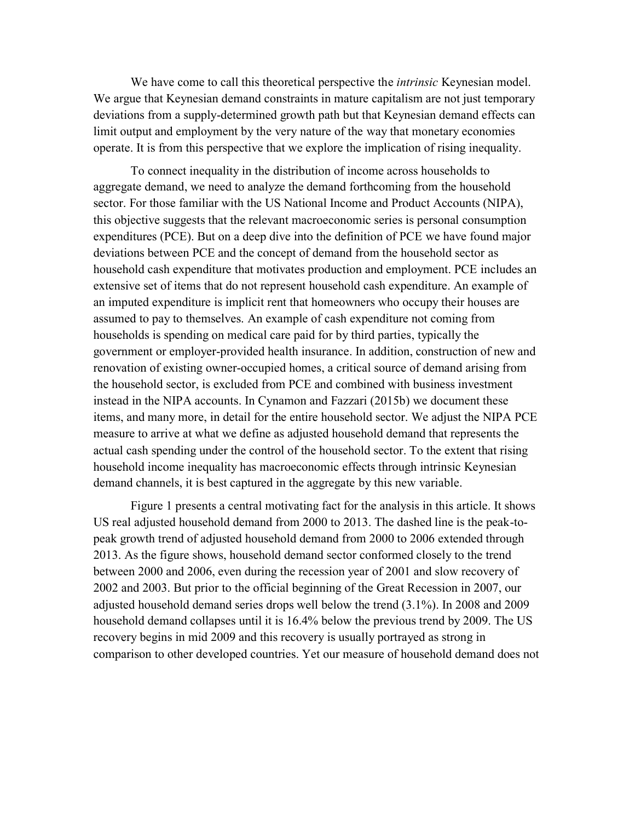We have come to call this theoretical perspective the *intrinsic* Keynesian model. We argue that Keynesian demand constraints in mature capitalism are not just temporary deviations from a supply-determined growth path but that Keynesian demand effects can limit output and employment by the very nature of the way that monetary economies operate. It is from this perspective that we explore the implication of rising inequality.

To connect inequality in the distribution of income across households to aggregate demand, we need to analyze the demand forthcoming from the household sector. For those familiar with the US National Income and Product Accounts (NIPA), this objective suggests that the relevant macroeconomic series is personal consumption expenditures (PCE). But on a deep dive into the definition of PCE we have found major deviations between PCE and the concept of demand from the household sector as household cash expenditure that motivates production and employment. PCE includes an extensive set of items that do not represent household cash expenditure. An example of an imputed expenditure is implicit rent that homeowners who occupy their houses are assumed to pay to themselves. An example of cash expenditure not coming from households is spending on medical care paid for by third parties, typically the government or employer-provided health insurance. In addition, construction of new and renovation of existing owner-occupied homes, a critical source of demand arising from the household sector, is excluded from PCE and combined with business investment instead in the NIPA accounts. In Cynamon and Fazzari (2015b) we document these items, and many more, in detail for the entire household sector. We adjust the NIPA PCE measure to arrive at what we define as adjusted household demand that represents the actual cash spending under the control of the household sector. To the extent that rising household income inequality has macroeconomic effects through intrinsic Keynesian demand channels, it is best captured in the aggregate by this new variable.

Figure 1 presents a central motivating fact for the analysis in this article. It shows US real adjusted household demand from 2000 to 2013. The dashed line is the peak-topeak growth trend of adjusted household demand from 2000 to 2006 extended through 2013. As the figure shows, household demand sector conformed closely to the trend between 2000 and 2006, even during the recession year of 2001 and slow recovery of 2002 and 2003. But prior to the official beginning of the Great Recession in 2007, our adjusted household demand series drops well below the trend (3.1%). In 2008 and 2009 household demand collapses until it is 16.4% below the previous trend by 2009. The US recovery begins in mid 2009 and this recovery is usually portrayed as strong in comparison to other developed countries. Yet our measure of household demand does not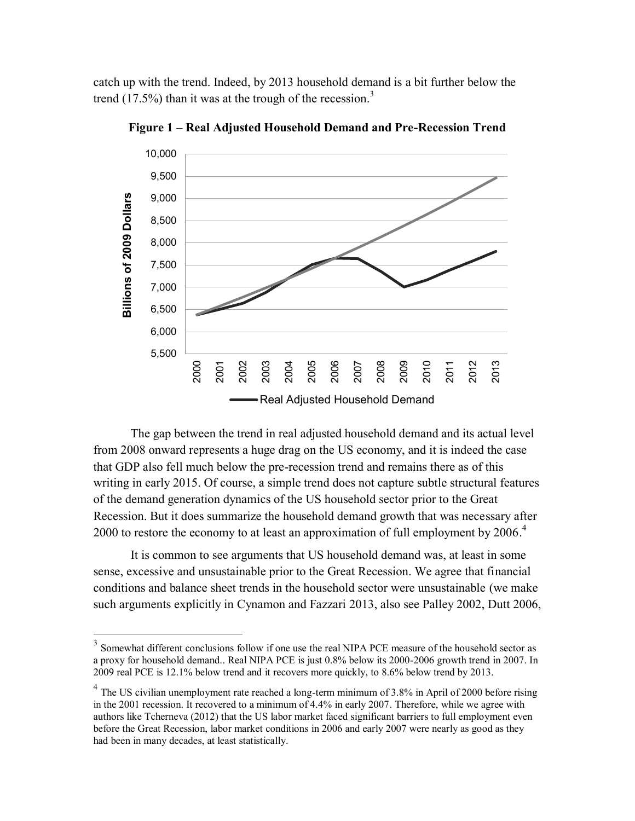catch up with the trend. Indeed, by 2013 household demand is a bit further below the trend  $(17.5\%)$  than it was at the trough of the recession.<sup>3</sup>



**Figure 1 – Real Adjusted Household Demand and Pre-Recession Trend**

The gap between the trend in real adjusted household demand and its actual level from 2008 onward represents a huge drag on the US economy, and it is indeed the case that GDP also fell much below the pre-recession trend and remains there as of this writing in early 2015. Of course, a simple trend does not capture subtle structural features of the demand generation dynamics of the US household sector prior to the Great Recession. But it does summarize the household demand growth that was necessary after 2000 to restore the economy to at least an approximation of full employment by  $2006$ .<sup>4</sup>

It is common to see arguments that US household demand was, at least in some sense, excessive and unsustainable prior to the Great Recession. We agree that financial conditions and balance sheet trends in the household sector were unsustainable (we make such arguments explicitly in Cynamon and Fazzari 2013, also see Palley 2002, Dutt 2006,

<sup>&</sup>lt;sup>3</sup> Somewhat different conclusions follow if one use the real NIPA PCE measure of the household sector as a proxy for household demand.. Real NIPA PCE is just 0.8% below its 2000-2006 growth trend in 2007. In 2009 real PCE is 12.1% below trend and it recovers more quickly, to 8.6% below trend by 2013.

 $4$  The US civilian unemployment rate reached a long-term minimum of 3.8% in April of 2000 before rising in the 2001 recession. It recovered to a minimum of 4.4% in early 2007. Therefore, while we agree with authors like Tcherneva (2012) that the US labor market faced significant barriers to full employment even before the Great Recession, labor market conditions in 2006 and early 2007 were nearly as good as they had been in many decades, at least statistically.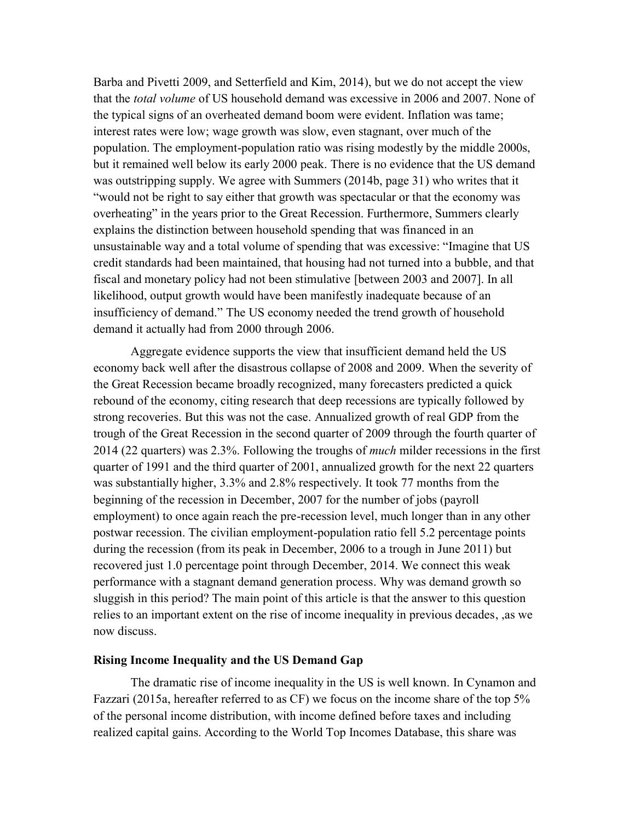Barba and Pivetti 2009, and Setterfield and Kim, 2014), but we do not accept the view that the *total volume* of US household demand was excessive in 2006 and 2007. None of the typical signs of an overheated demand boom were evident. Inflation was tame; interest rates were low; wage growth was slow, even stagnant, over much of the population. The employment-population ratio was rising modestly by the middle 2000s, but it remained well below its early 2000 peak. There is no evidence that the US demand was outstripping supply. We agree with Summers (2014b, page 31) who writes that it "would not be right to say either that growth was spectacular or that the economy was overheating" in the years prior to the Great Recession. Furthermore, Summers clearly explains the distinction between household spending that was financed in an unsustainable way and a total volume of spending that was excessive: "Imagine that US credit standards had been maintained, that housing had not turned into a bubble, and that fiscal and monetary policy had not been stimulative [between 2003 and 2007]. In all likelihood, output growth would have been manifestly inadequate because of an insufficiency of demand." The US economy needed the trend growth of household demand it actually had from 2000 through 2006.

Aggregate evidence supports the view that insufficient demand held the US economy back well after the disastrous collapse of 2008 and 2009. When the severity of the Great Recession became broadly recognized, many forecasters predicted a quick rebound of the economy, citing research that deep recessions are typically followed by strong recoveries. But this was not the case. Annualized growth of real GDP from the trough of the Great Recession in the second quarter of 2009 through the fourth quarter of 2014 (22 quarters) was 2.3%. Following the troughs of *much* milder recessions in the first quarter of 1991 and the third quarter of 2001, annualized growth for the next 22 quarters was substantially higher, 3.3% and 2.8% respectively. It took 77 months from the beginning of the recession in December, 2007 for the number of jobs (payroll employment) to once again reach the pre-recession level, much longer than in any other postwar recession. The civilian employment-population ratio fell 5.2 percentage points during the recession (from its peak in December, 2006 to a trough in June 2011) but recovered just 1.0 percentage point through December, 2014. We connect this weak performance with a stagnant demand generation process. Why was demand growth so sluggish in this period? The main point of this article is that the answer to this question relies to an important extent on the rise of income inequality in previous decades, ,as we now discuss.

## **Rising Income Inequality and the US Demand Gap**

The dramatic rise of income inequality in the US is well known. In Cynamon and Fazzari (2015a, hereafter referred to as CF) we focus on the income share of the top 5% of the personal income distribution, with income defined before taxes and including realized capital gains. According to the World Top Incomes Database, this share was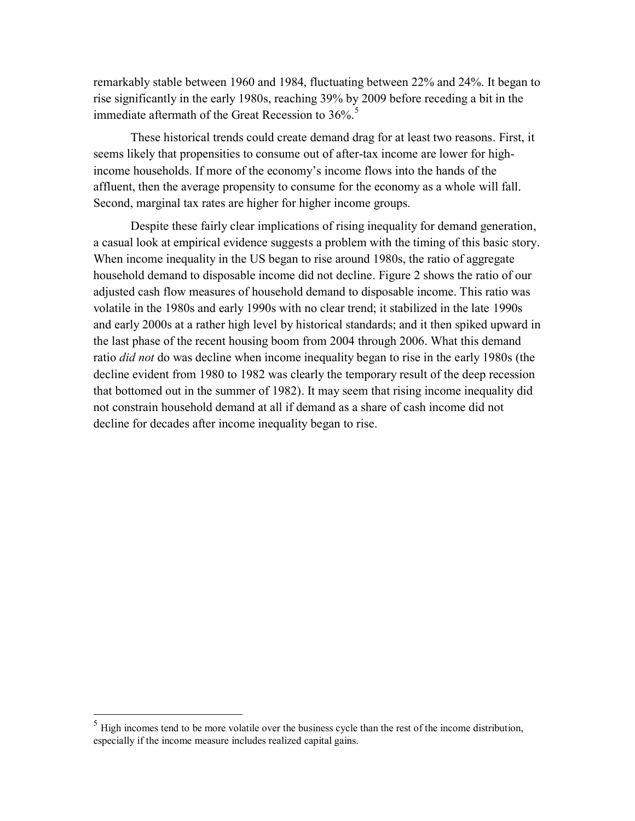remarkably stable between 1960 and 1984, fluctuating between 22% and 24%. It began to rise significantly in the early 1980s, reaching 39% by 2009 before receding a bit in the immediate aftermath of the Great Recession to  $36\%$ <sup>5</sup>

These historical trends could create demand drag for at least two reasons. First, it seems likely that propensities to consume out of after-tax income are lower for highincome households. If more of the economy's income flows into the hands of the affluent, then the average propensity to consume for the economy as a whole will fall. Second, marginal tax rates are higher for higher income groups.

Despite these fairly clear implications of rising inequality for demand generation, a casual look at empirical evidence suggests a problem with the timing of this basic story. When income inequality in the US began to rise around 1980s, the ratio of aggregate household demand to disposable income did not decline. Figure 2 shows the ratio of our adjusted cash flow measures of household demand to disposable income. This ratio was volatile in the 1980s and early 1990s with no clear trend; it stabilized in the late 1990s and early 2000s at a rather high level by historical standards; and it then spiked upward in the last phase of the recent housing boom from 2004 through 2006. What this demand ratio *did not* do was decline when income inequality began to rise in the early 1980s (the decline evident from 1980 to 1982 was clearly the temporary result of the deep recession that bottomed out in the summer of 1982). It may seem that rising income inequality did not constrain household demand at all if demand as a share of cash income did not decline for decades after income inequality began to rise.

 $<sup>5</sup>$  High incomes tend to be more volatile over the business cycle than the rest of the income distribution,</sup> especially if the income measure includes realized capital gains.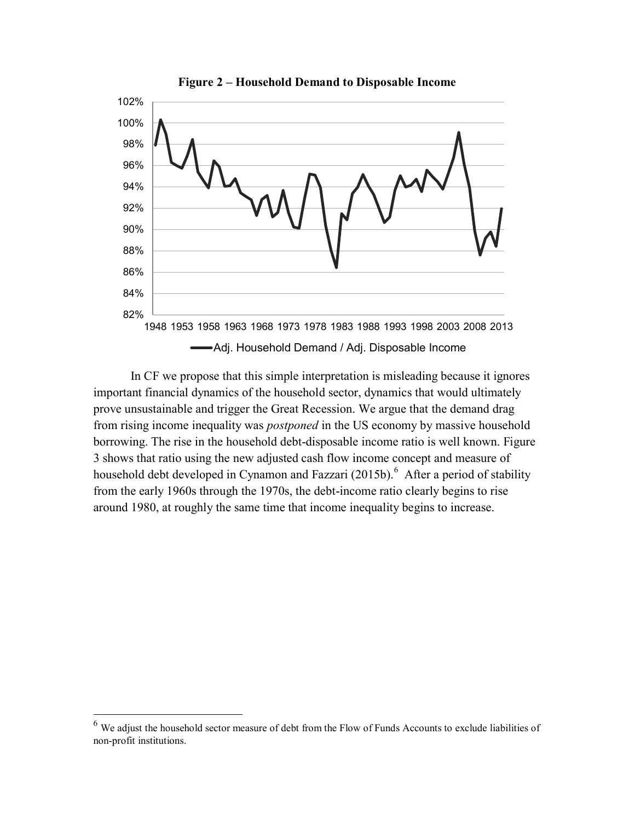

**Figure 2 – Household Demand to Disposable Income** 

In CF we propose that this simple interpretation is misleading because it ignores important financial dynamics of the household sector, dynamics that would ultimately prove unsustainable and trigger the Great Recession. We argue that the demand drag from rising income inequality was *postponed* in the US economy by massive household borrowing. The rise in the household debt-disposable income ratio is well known. Figure 3 shows that ratio using the new adjusted cash flow income concept and measure of household debt developed in Cynamon and Fazzari (2015b).<sup>6</sup> After a period of stability from the early 1960s through the 1970s, the debt-income ratio clearly begins to rise around 1980, at roughly the same time that income inequality begins to increase.

 $<sup>6</sup>$  We adjust the household sector measure of debt from the Flow of Funds Accounts to exclude liabilities of</sup> non-profit institutions.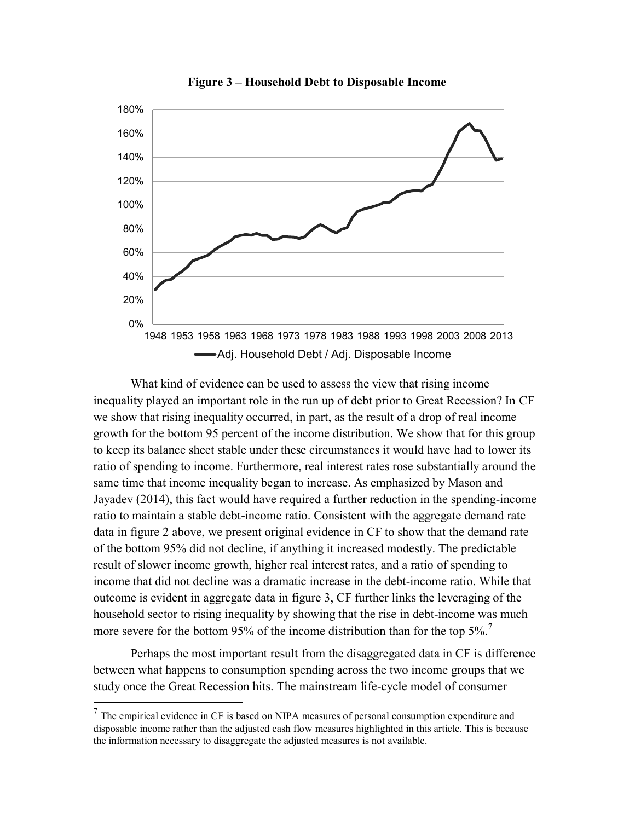

**Figure 3 – Household Debt to Disposable Income**

What kind of evidence can be used to assess the view that rising income inequality played an important role in the run up of debt prior to Great Recession? In CF we show that rising inequality occurred, in part, as the result of a drop of real income growth for the bottom 95 percent of the income distribution. We show that for this group to keep its balance sheet stable under these circumstances it would have had to lower its ratio of spending to income. Furthermore, real interest rates rose substantially around the same time that income inequality began to increase. As emphasized by Mason and Jayadev (2014), this fact would have required a further reduction in the spending-income ratio to maintain a stable debt-income ratio. Consistent with the aggregate demand rate data in figure 2 above, we present original evidence in CF to show that the demand rate of the bottom 95% did not decline, if anything it increased modestly. The predictable result of slower income growth, higher real interest rates, and a ratio of spending to income that did not decline was a dramatic increase in the debt-income ratio. While that outcome is evident in aggregate data in figure 3, CF further links the leveraging of the household sector to rising inequality by showing that the rise in debt-income was much more severe for the bottom 95% of the income distribution than for the top 5%.<sup>7</sup>

Perhaps the most important result from the disaggregated data in CF is difference between what happens to consumption spending across the two income groups that we study once the Great Recession hits. The mainstream life-cycle model of consumer

<sup>&</sup>lt;sup>7</sup> The empirical evidence in CF is based on NIPA measures of personal consumption expenditure and disposable income rather than the adjusted cash flow measures highlighted in this article. This is because the information necessary to disaggregate the adjusted measures is not available.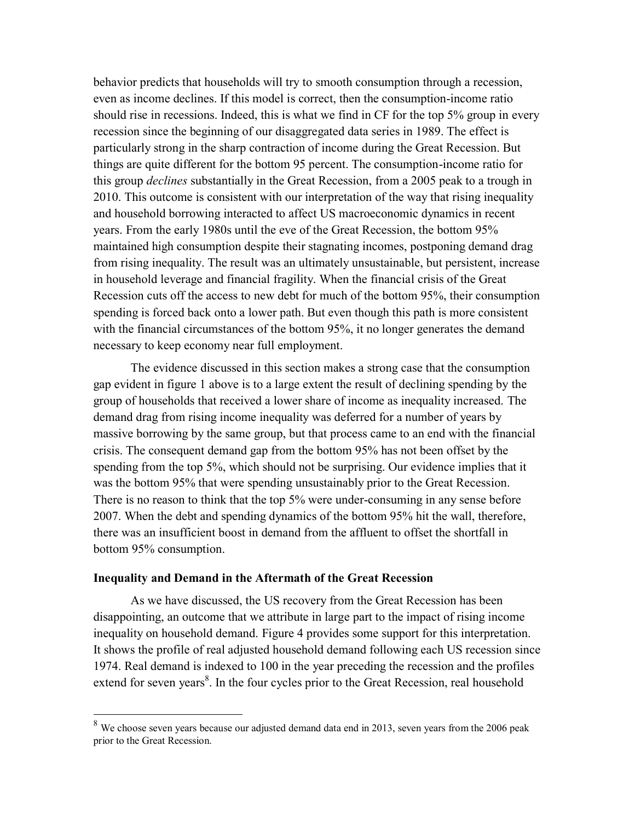behavior predicts that households will try to smooth consumption through a recession, even as income declines. If this model is correct, then the consumption-income ratio should rise in recessions. Indeed, this is what we find in CF for the top 5% group in every recession since the beginning of our disaggregated data series in 1989. The effect is particularly strong in the sharp contraction of income during the Great Recession. But things are quite different for the bottom 95 percent. The consumption-income ratio for this group *declines* substantially in the Great Recession, from a 2005 peak to a trough in 2010. This outcome is consistent with our interpretation of the way that rising inequality and household borrowing interacted to affect US macroeconomic dynamics in recent years. From the early 1980s until the eve of the Great Recession, the bottom 95% maintained high consumption despite their stagnating incomes, postponing demand drag from rising inequality. The result was an ultimately unsustainable, but persistent, increase in household leverage and financial fragility. When the financial crisis of the Great Recession cuts off the access to new debt for much of the bottom 95%, their consumption spending is forced back onto a lower path. But even though this path is more consistent with the financial circumstances of the bottom 95%, it no longer generates the demand necessary to keep economy near full employment.

The evidence discussed in this section makes a strong case that the consumption gap evident in figure 1 above is to a large extent the result of declining spending by the group of households that received a lower share of income as inequality increased. The demand drag from rising income inequality was deferred for a number of years by massive borrowing by the same group, but that process came to an end with the financial crisis. The consequent demand gap from the bottom 95% has not been offset by the spending from the top 5%, which should not be surprising. Our evidence implies that it was the bottom 95% that were spending unsustainably prior to the Great Recession. There is no reason to think that the top 5% were under-consuming in any sense before 2007. When the debt and spending dynamics of the bottom 95% hit the wall, therefore, there was an insufficient boost in demand from the affluent to offset the shortfall in bottom 95% consumption.

### **Inequality and Demand in the Aftermath of the Great Recession**

 $\overline{a}$ 

As we have discussed, the US recovery from the Great Recession has been disappointing, an outcome that we attribute in large part to the impact of rising income inequality on household demand. Figure 4 provides some support for this interpretation. It shows the profile of real adjusted household demand following each US recession since 1974. Real demand is indexed to 100 in the year preceding the recession and the profiles extend for seven years<sup>8</sup>. In the four cycles prior to the Great Recession, real household

 $8\,$  We choose seven years because our adjusted demand data end in 2013, seven years from the 2006 peak prior to the Great Recession.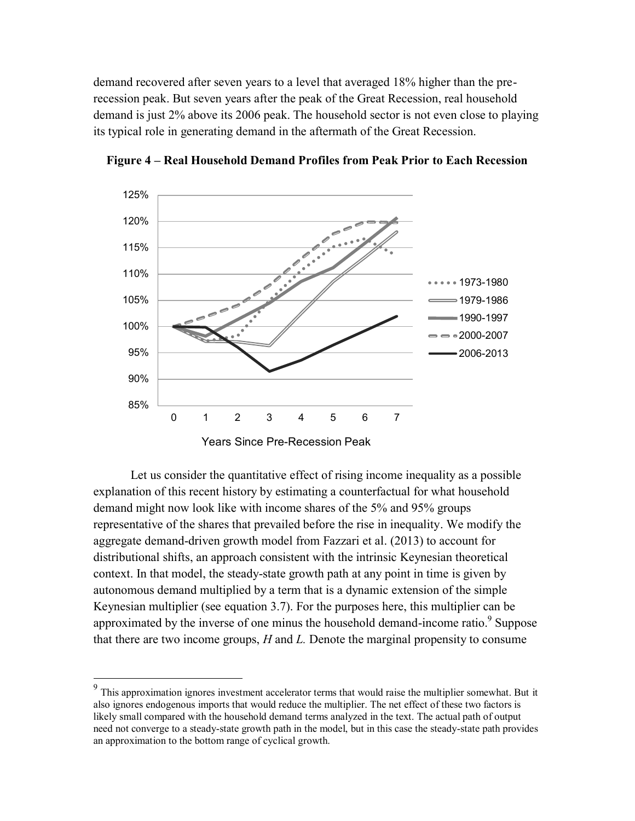demand recovered after seven years to a level that averaged 18% higher than the prerecession peak. But seven years after the peak of the Great Recession, real household demand is just 2% above its 2006 peak. The household sector is not even close to playing its typical role in generating demand in the aftermath of the Great Recession.



**Figure 4 – Real Household Demand Profiles from Peak Prior to Each Recession**

Let us consider the quantitative effect of rising income inequality as a possible explanation of this recent history by estimating a counterfactual for what household demand might now look like with income shares of the 5% and 95% groups representative of the shares that prevailed before the rise in inequality. We modify the aggregate demand-driven growth model from Fazzari et al. (2013) to account for distributional shifts, an approach consistent with the intrinsic Keynesian theoretical context. In that model, the steady-state growth path at any point in time is given by autonomous demand multiplied by a term that is a dynamic extension of the simple Keynesian multiplier (see equation 3.7). For the purposes here, this multiplier can be approximated by the inverse of one minus the household demand-income ratio.<sup>9</sup> Suppose that there are two income groups, *H* and *L.* Denote the marginal propensity to consume

<sup>&</sup>lt;sup>9</sup><br>This approximation ignores investment accelerator terms that would raise the multiplier somewhat. But it also ignores endogenous imports that would reduce the multiplier. The net effect of these two factors is likely small compared with the household demand terms analyzed in the text. The actual path of output need not converge to a steady-state growth path in the model, but in this case the steady-state path provides an approximation to the bottom range of cyclical growth.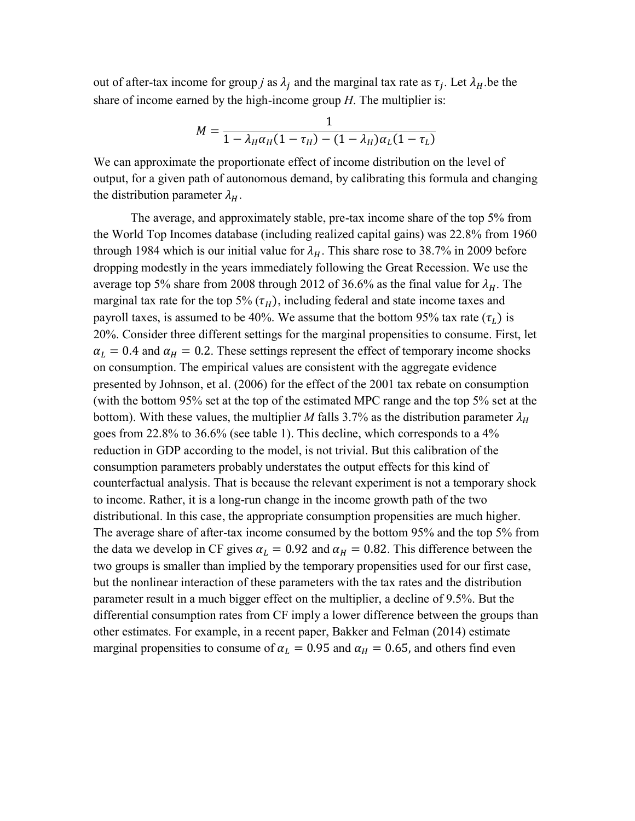out of after-tax income for group *j* as  $\lambda_j$  and the marginal tax rate as  $\tau_j$ . Let  $\lambda_H$  be the share of income earned by the high-income group *H*. The multiplier is:

$$
M = \frac{1}{1 - \lambda_H \alpha_H (1 - \tau_H) - (1 - \lambda_H) \alpha_L (1 - \tau_L)}
$$

We can approximate the proportionate effect of income distribution on the level of output, for a given path of autonomous demand, by calibrating this formula and changing the distribution parameter  $\lambda_H$ .

The average, and approximately stable, pre-tax income share of the top 5% from the World Top Incomes database (including realized capital gains) was 22.8% from 1960 through 1984 which is our initial value for  $\lambda_H$ . This share rose to 38.7% in 2009 before dropping modestly in the years immediately following the Great Recession. We use the average top 5% share from 2008 through 2012 of 36.6% as the final value for  $\lambda_H$ . The marginal tax rate for the top 5%  $(\tau_H)$ , including federal and state income taxes and payroll taxes, is assumed to be 40%. We assume that the bottom 95% tax rate  $(\tau_L)$  is 20%. Consider three different settings for the marginal propensities to consume. First, let  $\alpha_L = 0.4$  and  $\alpha_H = 0.2$ . These settings represent the effect of temporary income shocks on consumption. The empirical values are consistent with the aggregate evidence presented by Johnson, et al. (2006) for the effect of the 2001 tax rebate on consumption (with the bottom 95% set at the top of the estimated MPC range and the top 5% set at the bottom). With these values, the multiplier *M* falls 3.7% as the distribution parameter  $\lambda_H$ goes from 22.8% to 36.6% (see table 1). This decline, which corresponds to a 4% reduction in GDP according to the model, is not trivial. But this calibration of the consumption parameters probably understates the output effects for this kind of counterfactual analysis. That is because the relevant experiment is not a temporary shock to income. Rather, it is a long-run change in the income growth path of the two distributional. In this case, the appropriate consumption propensities are much higher. The average share of after-tax income consumed by the bottom 95% and the top 5% from the data we develop in CF gives  $\alpha_L = 0.92$  and  $\alpha_H = 0.82$ . This difference between the two groups is smaller than implied by the temporary propensities used for our first case, but the nonlinear interaction of these parameters with the tax rates and the distribution parameter result in a much bigger effect on the multiplier, a decline of 9.5%. But the differential consumption rates from CF imply a lower difference between the groups than other estimates. For example, in a recent paper, Bakker and Felman (2014) estimate marginal propensities to consume of  $\alpha_L = 0.95$  and  $\alpha_H = 0.65$ , and others find even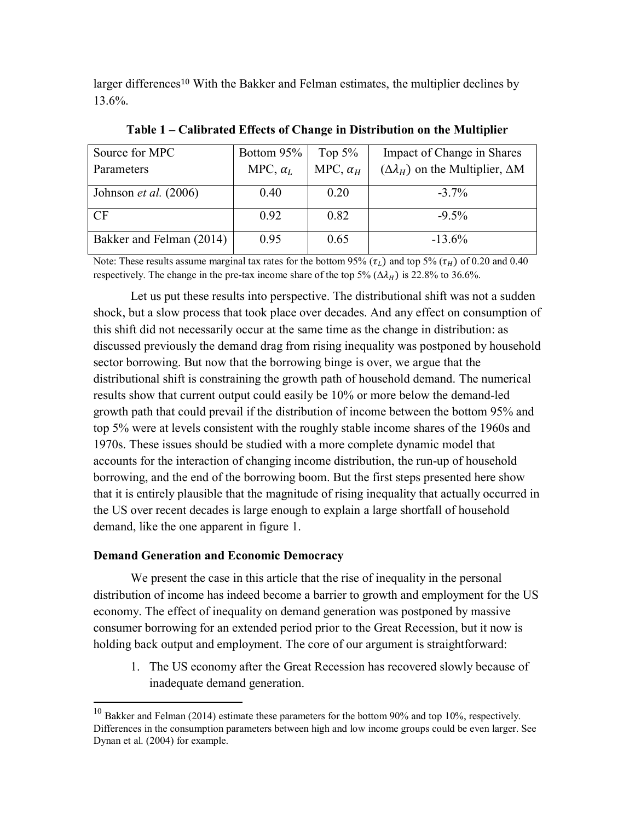larger differences<sup>10</sup> With the Bakker and Felman estimates, the multiplier declines by 13.6%.

| Source for MPC<br>Parameters   | Bottom 95%<br>MPC, $\alpha_L$ | Top $5\%$<br>MPC, $\alpha_H$ | Impact of Change in Shares<br>$(\Delta \lambda_{H})$ on the Multiplier, $\Delta M$ |
|--------------------------------|-------------------------------|------------------------------|------------------------------------------------------------------------------------|
| Johnson <i>et al.</i> $(2006)$ | 0.40                          | 0.20                         | $-3.7\%$                                                                           |
| CF                             | 0.92                          | 0.82                         | $-9.5\%$                                                                           |
| Bakker and Felman (2014)       | 0.95                          | 0.65                         | $-13.6\%$                                                                          |

**Table 1 – Calibrated Effects of Change in Distribution on the Multiplier** 

Note: These results assume marginal tax rates for the bottom 95% ( $\tau_L$ ) and top 5% ( $\tau_H$ ) of 0.20 and 0.40 respectively. The change in the pre-tax income share of the top 5%  $(\Delta \lambda_H)$  is 22.8% to 36.6%.

Let us put these results into perspective. The distributional shift was not a sudden shock, but a slow process that took place over decades. And any effect on consumption of this shift did not necessarily occur at the same time as the change in distribution: as discussed previously the demand drag from rising inequality was postponed by household sector borrowing. But now that the borrowing binge is over, we argue that the distributional shift is constraining the growth path of household demand. The numerical results show that current output could easily be 10% or more below the demand-led growth path that could prevail if the distribution of income between the bottom 95% and top 5% were at levels consistent with the roughly stable income shares of the 1960s and 1970s. These issues should be studied with a more complete dynamic model that accounts for the interaction of changing income distribution, the run-up of household borrowing, and the end of the borrowing boom. But the first steps presented here show that it is entirely plausible that the magnitude of rising inequality that actually occurred in the US over recent decades is large enough to explain a large shortfall of household demand, like the one apparent in figure 1.

# **Demand Generation and Economic Democracy**

 $\overline{a}$ 

We present the case in this article that the rise of inequality in the personal distribution of income has indeed become a barrier to growth and employment for the US economy. The effect of inequality on demand generation was postponed by massive consumer borrowing for an extended period prior to the Great Recession, but it now is holding back output and employment. The core of our argument is straightforward:

1. The US economy after the Great Recession has recovered slowly because of inadequate demand generation.

 $10$  Bakker and Felman (2014) estimate these parameters for the bottom 90% and top 10%, respectively. Differences in the consumption parameters between high and low income groups could be even larger. See Dynan et al. (2004) for example.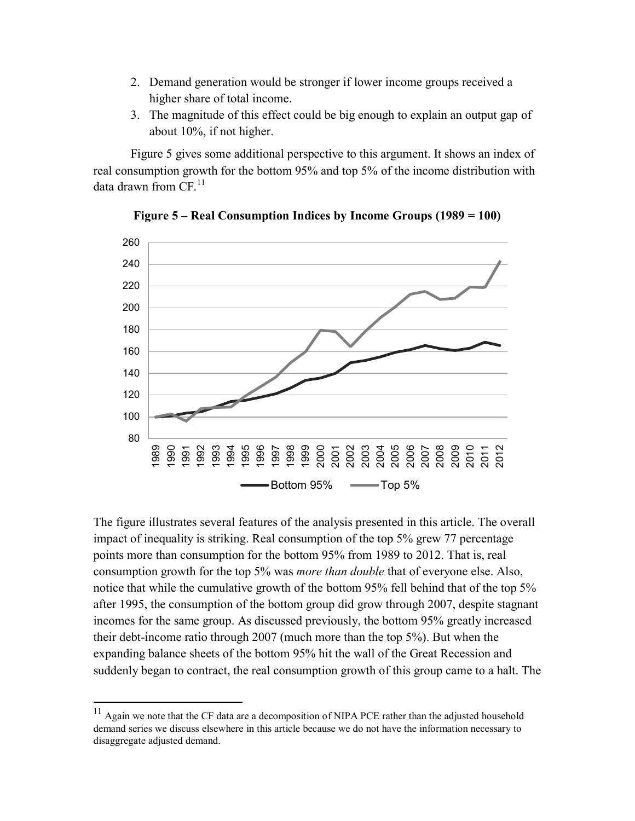- 2. Demand generation would be stronger if lower income groups received a higher share of total income.
- 3. The magnitude of this effect could be big enough to explain an output gap of about 10%, if not higher.

Figure 5 gives some additional perspective to this argument. It shows an index of real consumption growth for the bottom 95% and top 5% of the income distribution with data drawn from  $CF<sup>11</sup>$ 



**Figure 5 – Real Consumption Indices by Income Groups (1989 = 100)**

The figure illustrates several features of the analysis presented in this article. The overall impact of inequality is striking. Real consumption of the top 5% grew 77 percentage points more than consumption for the bottom 95% from 1989 to 2012. That is, real consumption growth for the top 5% was *more than double* that of everyone else. Also, notice that while the cumulative growth of the bottom 95% fell behind that of the top 5% after 1995, the consumption of the bottom group did grow through 2007, despite stagnant incomes for the same group. As discussed previously, the bottom 95% greatly increased their debt-income ratio through 2007 (much more than the top 5%). But when the expanding balance sheets of the bottom 95% hit the wall of the Great Recession and suddenly began to contract, the real consumption growth of this group came to a halt. The

 $11$  Again we note that the CF data are a decomposition of NIPA PCE rather than the adjusted household demand series we discuss elsewhere in this article because we do not have the information necessary to disaggregate adjusted demand.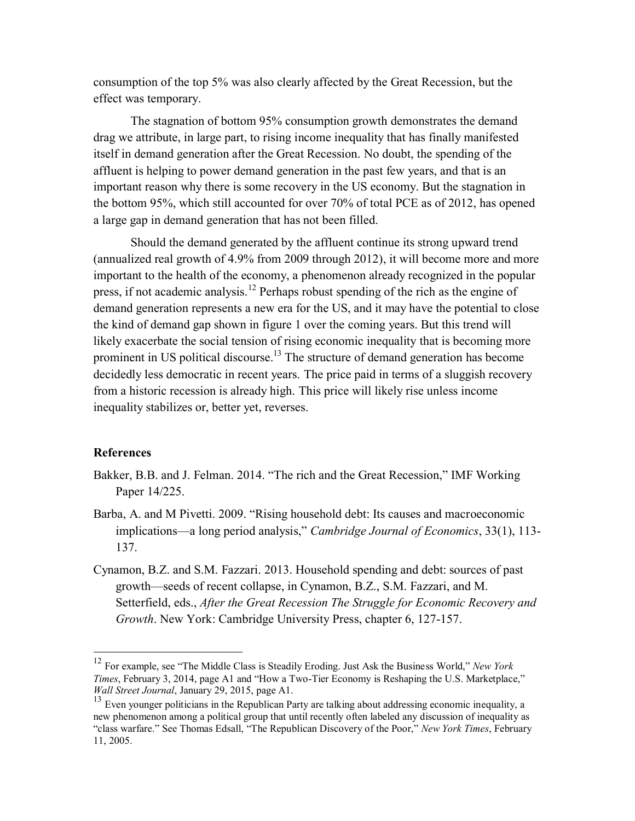consumption of the top 5% was also clearly affected by the Great Recession, but the effect was temporary.

The stagnation of bottom 95% consumption growth demonstrates the demand drag we attribute, in large part, to rising income inequality that has finally manifested itself in demand generation after the Great Recession. No doubt, the spending of the affluent is helping to power demand generation in the past few years, and that is an important reason why there is some recovery in the US economy. But the stagnation in the bottom 95%, which still accounted for over 70% of total PCE as of 2012, has opened a large gap in demand generation that has not been filled.

Should the demand generated by the affluent continue its strong upward trend (annualized real growth of 4.9% from 2009 through 2012), it will become more and more important to the health of the economy, a phenomenon already recognized in the popular press, if not academic analysis.<sup>12</sup> Perhaps robust spending of the rich as the engine of demand generation represents a new era for the US, and it may have the potential to close the kind of demand gap shown in figure 1 over the coming years. But this trend will likely exacerbate the social tension of rising economic inequality that is becoming more prominent in US political discourse.<sup>13</sup> The structure of demand generation has become decidedly less democratic in recent years. The price paid in terms of a sluggish recovery from a historic recession is already high. This price will likely rise unless income inequality stabilizes or, better yet, reverses.

## **References**

- Bakker, B.B. and J. Felman. 2014. "The rich and the Great Recession," IMF Working Paper 14/225.
- Barba, A. and M Pivetti. 2009. "Rising household debt: Its causes and macroeconomic implications—a long period analysis," *Cambridge Journal of Economics*, 33(1), 113- 137.
- Cynamon, B.Z. and S.M. Fazzari. 2013. Household spending and debt: sources of past growth—seeds of recent collapse, in Cynamon, B.Z., S.M. Fazzari, and M. Setterfield, eds., *After the Great Recession The Struggle for Economic Recovery and Growth*. New York: Cambridge University Press, chapter 6, 127-157.

<sup>12</sup> For example, see "The Middle Class is Steadily Eroding. Just Ask the Business World," *New York Times*, February 3, 2014, page A1 and "How a Two-Tier Economy is Reshaping the U.S. Marketplace," *Wall Street Journal*, January 29, 2015, page A1.

 $13$  Even vounger politicians in the Republican Party are talking about addressing economic inequality, a new phenomenon among a political group that until recently often labeled any discussion of inequality as "class warfare." See Thomas Edsall, "The Republican Discovery of the Poor," *New York Times*, February 11, 2005.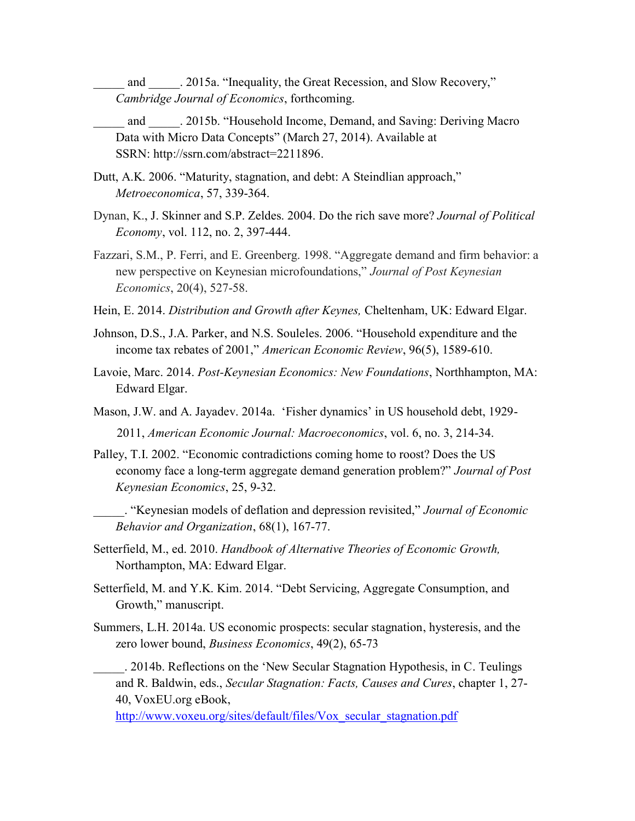and . 2015a. "Inequality, the Great Recession, and Slow Recovery," *Cambridge Journal of Economics*, forthcoming.

- \_\_\_\_\_ and \_\_\_\_\_. 2015b. "Household Income, Demand, and Saving: Deriving Macro Data with Micro Data Concepts" (March 27, 2014). Available at SSRN: [http://ssrn.com/abstract=2211896.](http://ssrn.com/abstract=2211896)
- Dutt, A.K. 2006. "Maturity, stagnation, and debt: A Steindlian approach," *Metroeconomica*, 57, 339-364.
- Dynan, K., J. Skinner and S.P. Zeldes. 2004. Do the rich save more? *Journal of Political Economy*, vol. 112, no. 2, 397-444.
- Fazzari, S.M., P. Ferri, and E. Greenberg. 1998. "Aggregate demand and firm behavior: a new perspective on Keynesian microfoundations," *Journal of Post Keynesian Economics*, 20(4), 527-58.
- Hein, E. 2014. *Distribution and Growth after Keynes,* Cheltenham, UK: Edward Elgar.
- Johnson, D.S., J.A. Parker, and N.S. Souleles. 2006. "Household expenditure and the income tax rebates of 2001," *American Economic Review*, 96(5), 1589-610.
- Lavoie, Marc. 2014. *Post-Keynesian Economics: New Foundations*, Northhampton, MA: Edward Elgar.
- Mason, J.W. and A. Jayadev. 2014a. 'Fisher dynamics' in US household debt, 1929- 2011, *American Economic Journal: Macroeconomics*, vol. 6, no. 3, 214-34.
- Palley, T.I. 2002. "Economic contradictions coming home to roost? Does the US economy face a long-term aggregate demand generation problem?" *Journal of Post Keynesian Economics*, 25, 9-32.
	- \_\_\_\_\_. "Keynesian models of deflation and depression revisited," *Journal of Economic Behavior and Organization*, 68(1), 167-77.
- Setterfield, M., ed. 2010. *Handbook of Alternative Theories of Economic Growth,*  Northampton, MA: Edward Elgar.
- Setterfield, M. and Y.K. Kim. 2014. "Debt Servicing, Aggregate Consumption, and Growth," manuscript.
- Summers, L.H. 2014a. US economic prospects: secular stagnation, hysteresis, and the zero lower bound, *Business Economics*, 49(2), 65-73
	- \_\_\_\_\_. 2014b. Reflections on the 'New Secular Stagnation Hypothesis, in C. Teulings and R. Baldwin, eds., *Secular Stagnation: Facts, Causes and Cures*, chapter 1, 27- 40, VoxEU.org eBook,

[http://www.voxeu.org/sites/default/files/Vox\\_secular\\_stagnation.pdf](http://www.voxeu.org/sites/default/files/Vox_secular_stagnation.pdf)